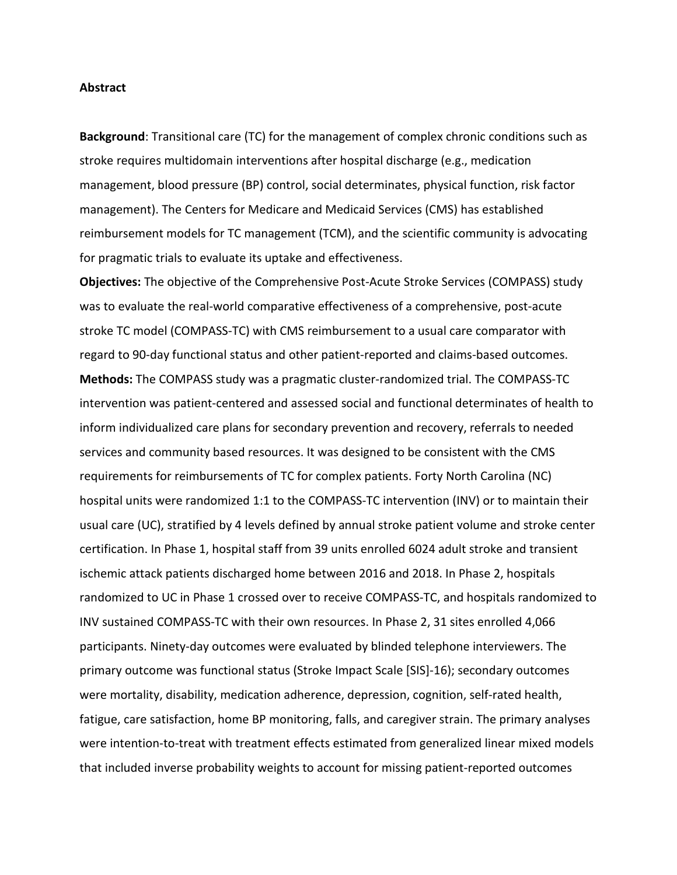## **Abstract**

**Background**: Transitional care (TC) for the management of complex chronic conditions such as stroke requires multidomain interventions after hospital discharge (e.g., medication management, blood pressure (BP) control, social determinates, physical function, risk factor management). The Centers for Medicare and Medicaid Services (CMS) has established reimbursement models for TC management (TCM), and the scientific community is advocating for pragmatic trials to evaluate its uptake and effectiveness.

**Objectives:** The objective of the Comprehensive Post-Acute Stroke Services (COMPASS) study was to evaluate the real-world comparative effectiveness of a comprehensive, post-acute stroke TC model (COMPASS-TC) with CMS reimbursement to a usual care comparator with regard to 90-day functional status and other patient-reported and claims-based outcomes. **Methods:** The COMPASS study was a pragmatic cluster-randomized trial. The COMPASS-TC intervention was patient-centered and assessed social and functional determinates of health to inform individualized care plans for secondary prevention and recovery, referrals to needed services and community based resources. It was designed to be consistent with the CMS requirements for reimbursements of TC for complex patients. Forty North Carolina (NC) hospital units were randomized 1:1 to the COMPASS-TC intervention (INV) or to maintain their usual care (UC), stratified by 4 levels defined by annual stroke patient volume and stroke center certification. In Phase 1, hospital staff from 39 units enrolled 6024 adult stroke and transient ischemic attack patients discharged home between 2016 and 2018. In Phase 2, hospitals randomized to UC in Phase 1 crossed over to receive COMPASS-TC, and hospitals randomized to INV sustained COMPASS-TC with their own resources. In Phase 2, 31 sites enrolled 4,066 participants. Ninety-day outcomes were evaluated by blinded telephone interviewers. The primary outcome was functional status (Stroke Impact Scale [SIS]-16); secondary outcomes were mortality, disability, medication adherence, depression, cognition, self-rated health, fatigue, care satisfaction, home BP monitoring, falls, and caregiver strain. The primary analyses were intention-to-treat with treatment effects estimated from generalized linear mixed models that included inverse probability weights to account for missing patient-reported outcomes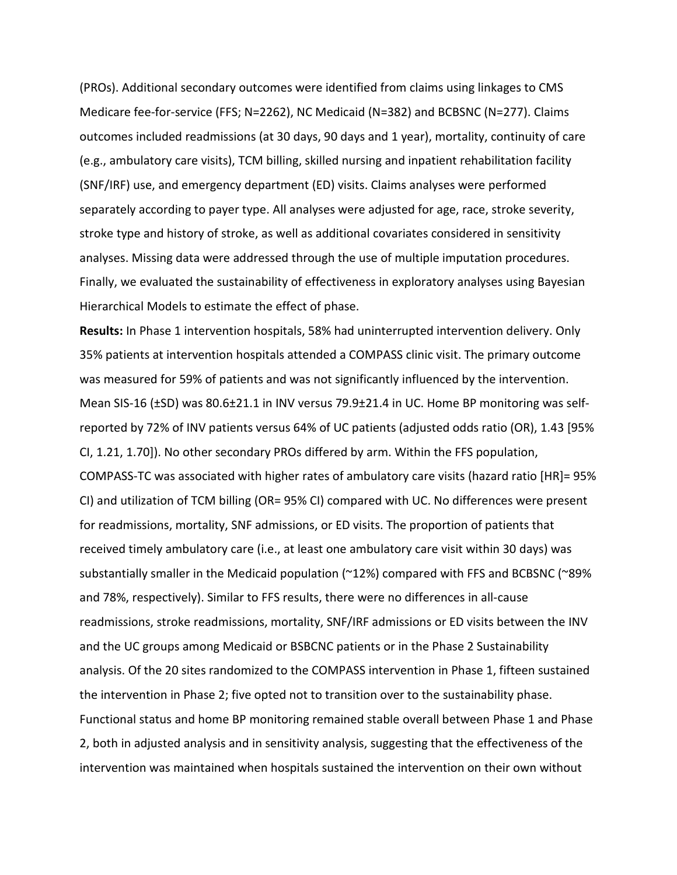(PROs). Additional secondary outcomes were identified from claims using linkages to CMS Medicare fee-for-service (FFS; N=2262), NC Medicaid (N=382) and BCBSNC (N=277). Claims outcomes included readmissions (at 30 days, 90 days and 1 year), mortality, continuity of care (e.g., ambulatory care visits), TCM billing, skilled nursing and inpatient rehabilitation facility (SNF/IRF) use, and emergency department (ED) visits. Claims analyses were performed separately according to payer type. All analyses were adjusted for age, race, stroke severity, stroke type and history of stroke, as well as additional covariates considered in sensitivity analyses. Missing data were addressed through the use of multiple imputation procedures. Finally, we evaluated the sustainability of effectiveness in exploratory analyses using Bayesian Hierarchical Models to estimate the effect of phase.

**Results:** In Phase 1 intervention hospitals, 58% had uninterrupted intervention delivery. Only 35% patients at intervention hospitals attended a COMPASS clinic visit. The primary outcome was measured for 59% of patients and was not significantly influenced by the intervention. Mean SIS-16 (±SD) was 80.6±21.1 in INV versus 79.9±21.4 in UC. Home BP monitoring was selfreported by 72% of INV patients versus 64% of UC patients (adjusted odds ratio (OR), 1.43 [95% CI, 1.21, 1.70]). No other secondary PROs differed by arm. Within the FFS population, COMPASS-TC was associated with higher rates of ambulatory care visits (hazard ratio [HR]= 95% CI) and utilization of TCM billing (OR= 95% CI) compared with UC. No differences were present for readmissions, mortality, SNF admissions, or ED visits. The proportion of patients that received timely ambulatory care (i.e., at least one ambulatory care visit within 30 days) was substantially smaller in the Medicaid population (~12%) compared with FFS and BCBSNC (~89% and 78%, respectively). Similar to FFS results, there were no differences in all-cause readmissions, stroke readmissions, mortality, SNF/IRF admissions or ED visits between the INV and the UC groups among Medicaid or BSBCNC patients or in the Phase 2 Sustainability analysis. Of the 20 sites randomized to the COMPASS intervention in Phase 1, fifteen sustained the intervention in Phase 2; five opted not to transition over to the sustainability phase. Functional status and home BP monitoring remained stable overall between Phase 1 and Phase 2, both in adjusted analysis and in sensitivity analysis, suggesting that the effectiveness of the intervention was maintained when hospitals sustained the intervention on their own without